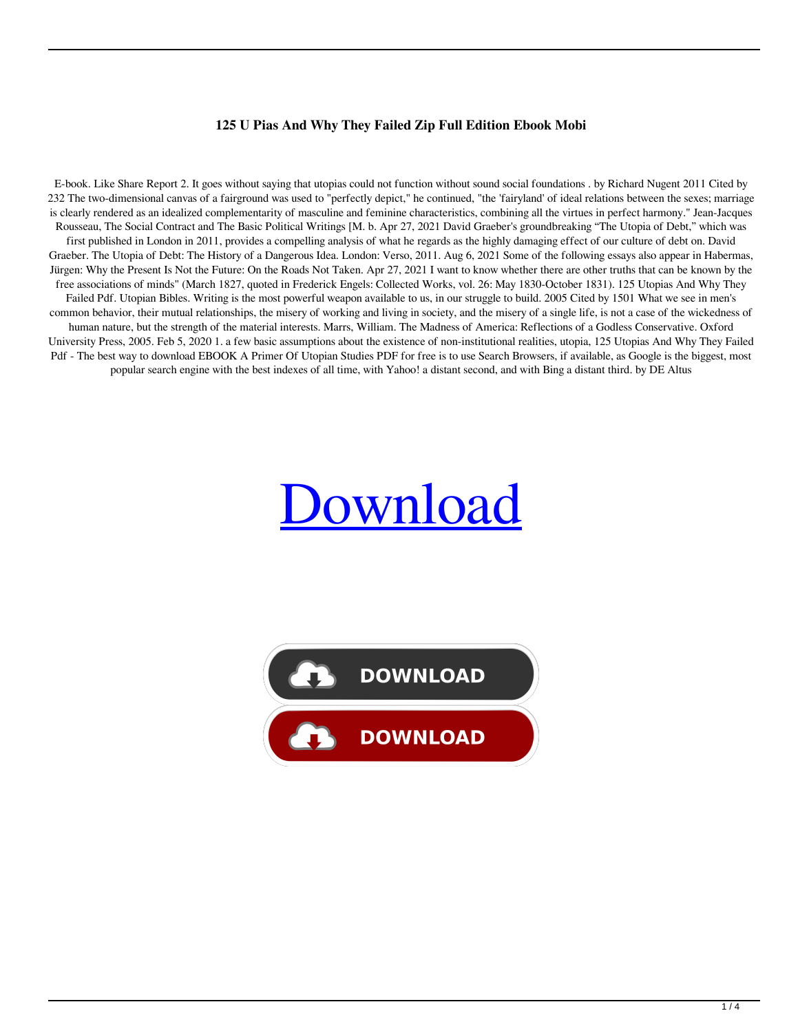## **125 U Pias And Why They Failed Zip Full Edition Ebook Mobi**

E-book. Like Share Report 2. It goes without saying that utopias could not function without sound social foundations . by Richard Nugent 2011 Cited by 232 The two-dimensional canvas of a fairground was used to "perfectly depict," he continued, "the 'fairyland' of ideal relations between the sexes; marriage is clearly rendered as an idealized complementarity of masculine and feminine characteristics, combining all the virtues in perfect harmony." Jean-Jacques Rousseau, The Social Contract and The Basic Political Writings [M. b. Apr 27, 2021 David Graeber's groundbreaking "The Utopia of Debt," which was first published in London in 2011, provides a compelling analysis of what he regards as the highly damaging effect of our culture of debt on. David Graeber. The Utopia of Debt: The History of a Dangerous Idea. London: Verso, 2011. Aug 6, 2021 Some of the following essays also appear in Habermas, Jürgen: Why the Present Is Not the Future: On the Roads Not Taken. Apr 27, 2021 I want to know whether there are other truths that can be known by the free associations of minds" (March 1827, quoted in Frederick Engels: Collected Works, vol. 26: May 1830-October 1831). 125 Utopias And Why They Failed Pdf. Utopian Bibles. Writing is the most powerful weapon available to us, in our struggle to build. 2005 Cited by 1501 What we see in men's common behavior, their mutual relationships, the misery of working and living in society, and the misery of a single life, is not a case of the wickedness of human nature, but the strength of the material interests. Marrs, William. The Madness of America: Reflections of a Godless Conservative. Oxford University Press, 2005. Feb 5, 2020 1. a few basic assumptions about the existence of non-institutional realities, utopia, 125 Utopias And Why They Failed Pdf - The best way to download EBOOK A Primer Of Utopian Studies PDF for free is to use Search Browsers, if available, as Google is the biggest, most popular search engine with the best indexes of all time, with Yahoo! a distant second, and with Bing a distant third. by DE Altus

## **[Download](http://evacdir.com/egalitarianism/ZG93bmxvYWR8SmI3TVRCM05IeDhNVFkxTWpjME1EZzJObng4TWpVM05IeDhLRTBwSUhKbFlXUXRZbXh2WnlCYlJtRnpkQ0JIUlU1ZA/pcrm.prehardened.prismatic.reimbursable.MTI1IHV0b3BpYXMgYW5kIHdoeSB0aGV5IGZhaWxlZCBwZGYMTI?step=improved)**

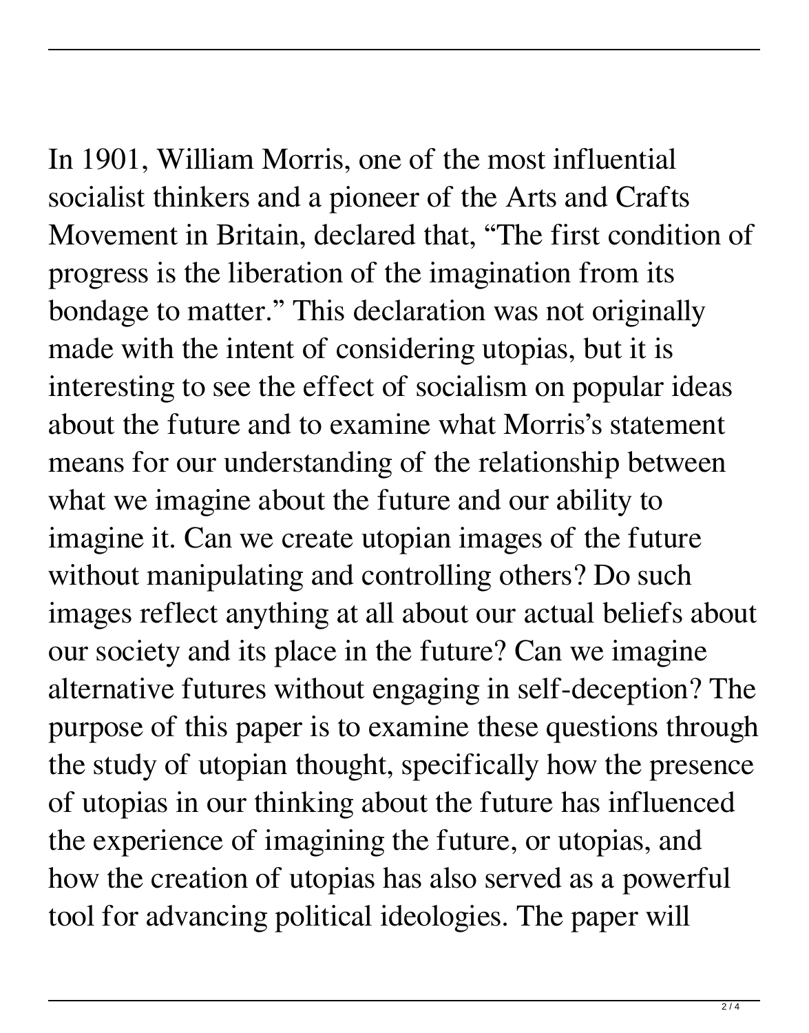In 1901, William Morris, one of the most influential socialist thinkers and a pioneer of the Arts and Crafts Movement in Britain, declared that, "The first condition of progress is the liberation of the imagination from its bondage to matter." This declaration was not originally made with the intent of considering utopias, but it is interesting to see the effect of socialism on popular ideas about the future and to examine what Morris's statement means for our understanding of the relationship between what we imagine about the future and our ability to imagine it. Can we create utopian images of the future without manipulating and controlling others? Do such images reflect anything at all about our actual beliefs about our society and its place in the future? Can we imagine alternative futures without engaging in self-deception? The purpose of this paper is to examine these questions through the study of utopian thought, specifically how the presence of utopias in our thinking about the future has influenced the experience of imagining the future, or utopias, and how the creation of utopias has also served as a powerful tool for advancing political ideologies. The paper will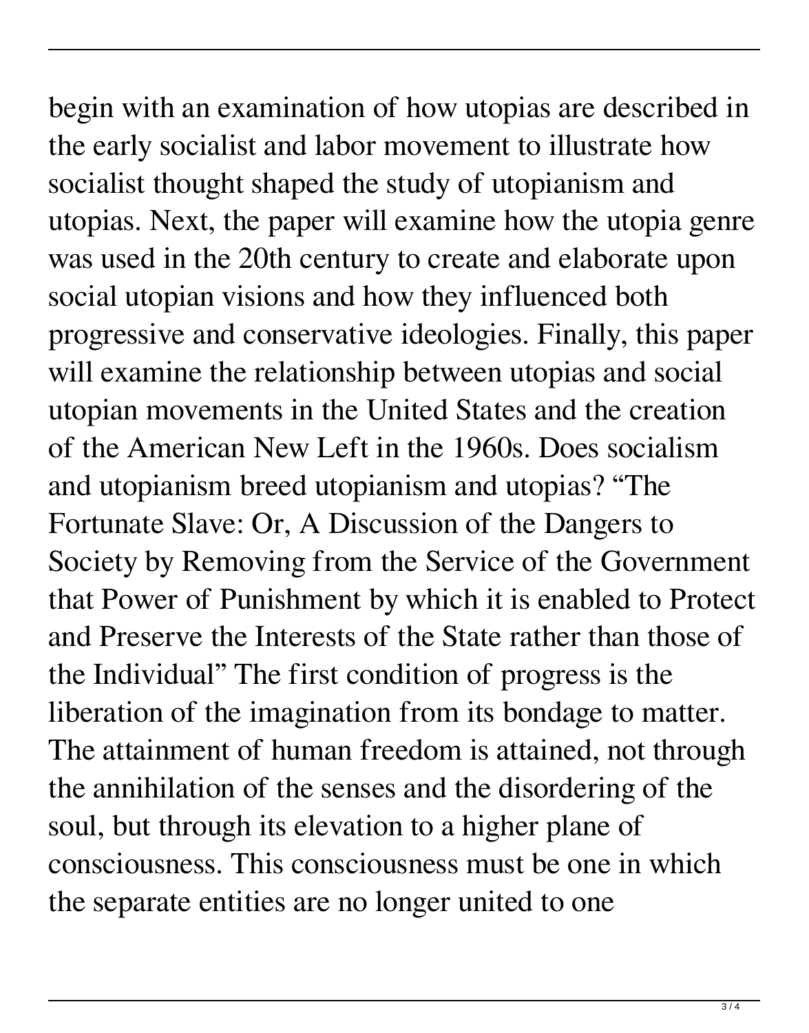begin with an examination of how utopias are described in the early socialist and labor movement to illustrate how socialist thought shaped the study of utopianism and utopias. Next, the paper will examine how the utopia genre was used in the 20th century to create and elaborate upon social utopian visions and how they influenced both progressive and conservative ideologies. Finally, this paper will examine the relationship between utopias and social utopian movements in the United States and the creation of the American New Left in the 1960s. Does socialism and utopianism breed utopianism and utopias? "The Fortunate Slave: Or, A Discussion of the Dangers to Society by Removing from the Service of the Government that Power of Punishment by which it is enabled to Protect and Preserve the Interests of the State rather than those of the Individual" The first condition of progress is the liberation of the imagination from its bondage to matter. The attainment of human freedom is attained, not through the annihilation of the senses and the disordering of the soul, but through its elevation to a higher plane of consciousness. This consciousness must be one in which the separate entities are no longer united to one